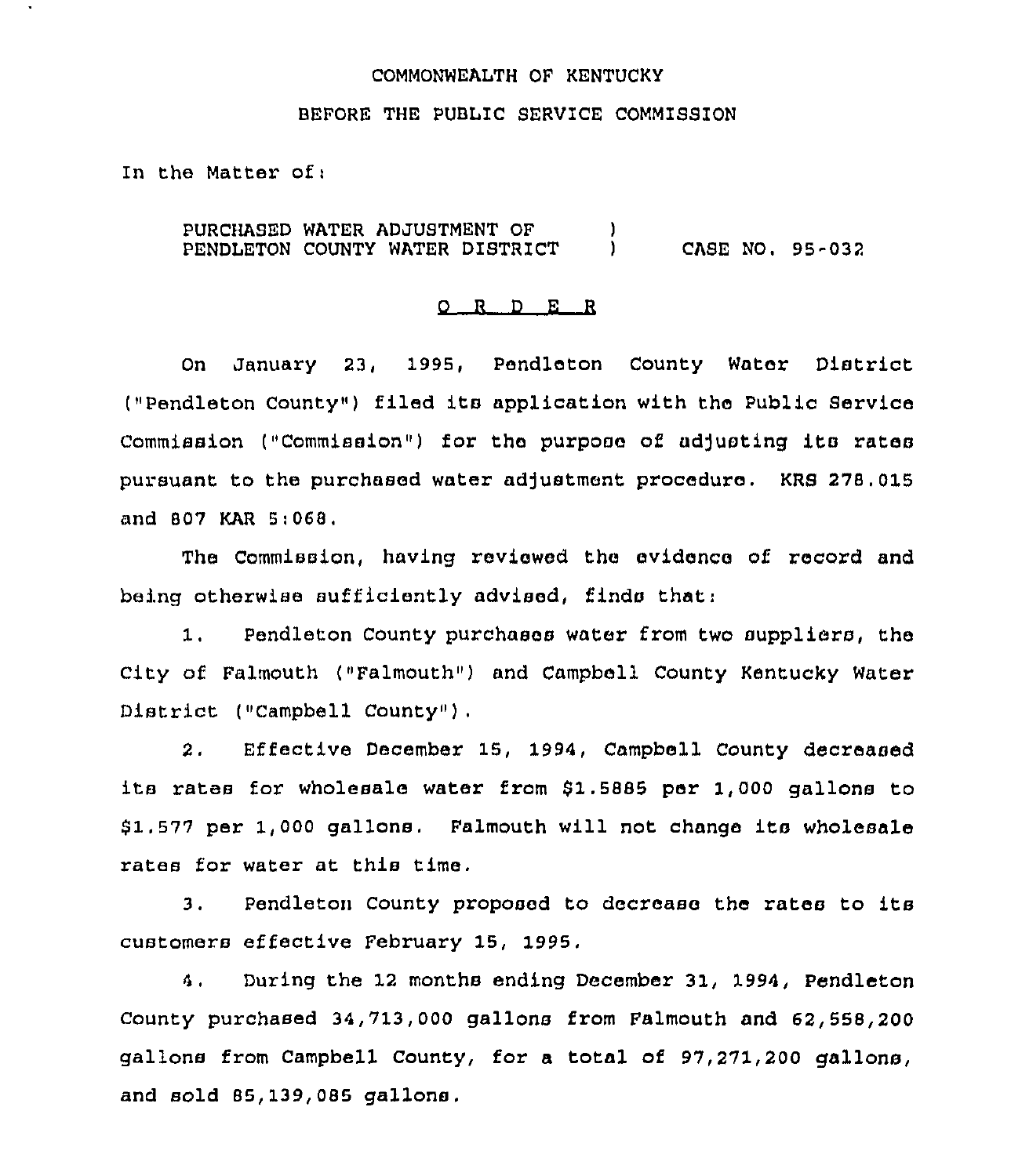# COMMONWEALTH OF KENTUCKY

## BEFORE THE PUBLIC SERVICE COMMISSION

In the Matter ofi

PURCHASED WATER ADJUSTMENT OF PENDLETON COUNTY WATER DISTRICT  $\left\{ \begin{array}{c} 1 \end{array} \right\}$ ) CASE NO. 95-032

### 0 <sup>R</sup> <sup>D</sup> E <sup>R</sup>

On January 23, 1995, Pendleton County Water District ("Pendleton County") filed its application with the Public Service Commission ("Commission") for the purpose of adjusting its rates pursuant to the purchased water adjustment procedure. KRS 278.015 and 807 KAR 5i068,

The Commission, having reviewed the evidence of xecoxd and being otherwise sufficiently advised, finds that:

1, Pendleton County purchases water from two suppliers, the City of Falmouth ("Falmouth") and Campbell County Kentucky Water District ("Campbell County").

2. Effective Decembex'5, 1994, Campbell County decreased its rates for wholesale water from \$1.5885 per 1,000 gallons to 81.577 per 1, <sup>000</sup> gallons, Falmouth will not change its wholesale rates for water at this time.

3. Pendleton County proposed to decrease the rates to its customers effective February 15, 1995.

4, During the 12 months ending December 31, 1994, Pendleton County purchased 34,713,000 gallons from Falmouth and 62,558,200 gallons from Campbell County, for a total of 97,271,200 gallons, and sold 85,139,085 gallons.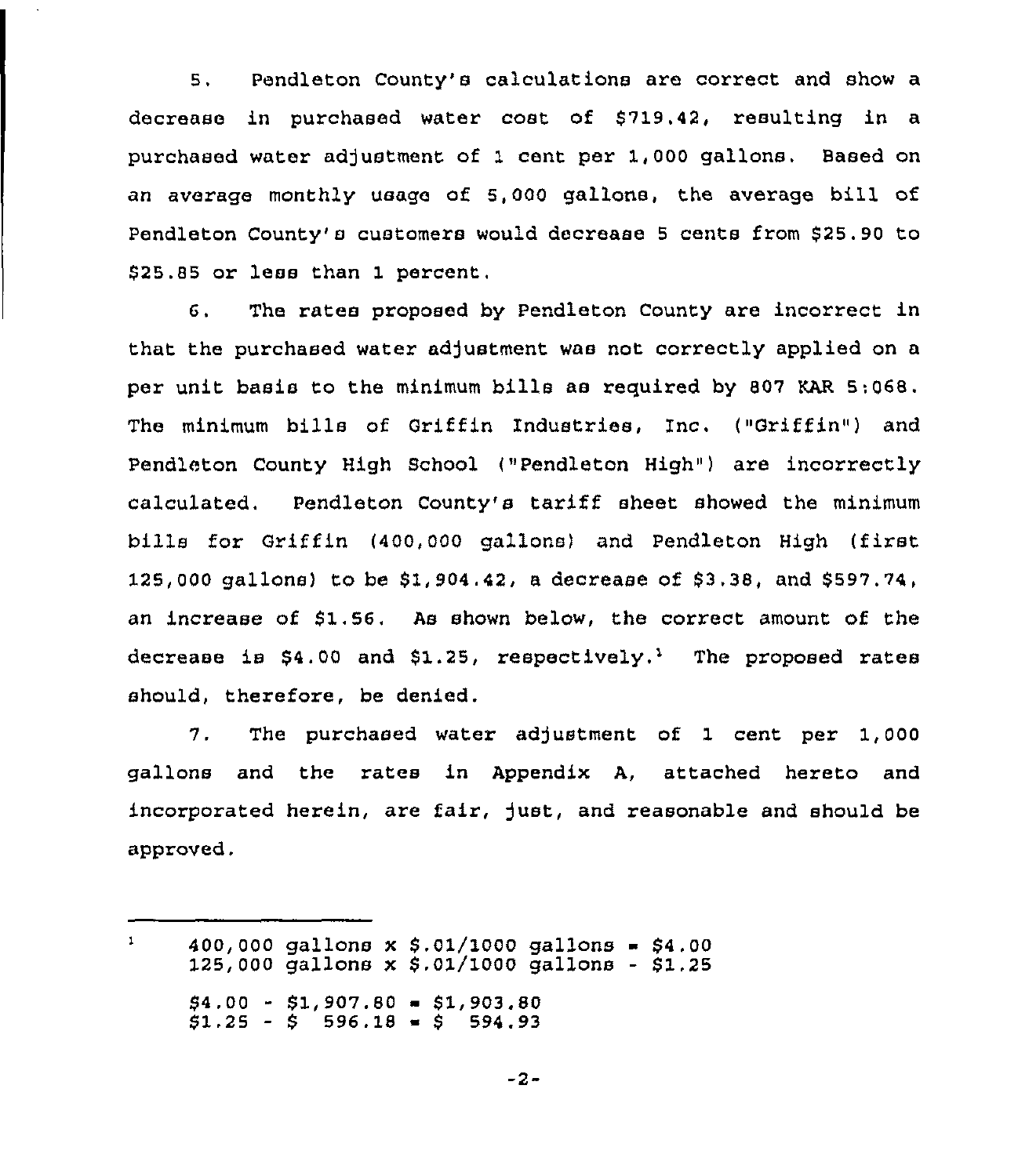5. Pendleton County's calculations are correct and show a decrease in purchased water cost of \$719.42, resulting in a purchased water adjustment of 1 cent per 1,000 gallons. Based on an average monthly usage of 5,000 gallons, the average bill of Pendleton County's customers would decrease 5 cents from \$25.90 to \$25.85 or less than 1 percent,

6. The rates proposed by Pendleton County are incorrect in that the purchased water adjustment was not correctly applied on a per unit basis to the minimum bills as required by 807 KAR 5:068. The minimum bills of Griffin Industries, Inc. ("Griffin") and Pendleton County High School ("Pendleton High") are incorrectly calculated. Pendleton County's tariff sheet showed the minimum bills for Griffin (400,000 gallons) and Pendleton High (first 125,000 gallons) to be \$1,904.42, a decrease of \$3.38, and \$597.74, an increase of  $$1.56$ . As shown below, the correct amount of the decrease is  $$4.00$  and  $$1.25$ , respectively,<sup>1</sup> The proposed rates should, therefore, be denied.

7. The purchased water adjustment of 1 cent per 1,000 gallons and the rates in Appendix A, attached hereto and incorporated herein, are fair, just, and reasonable and should be approved,

 $\mathbf{1}$ 400,000 gallons x \$.01/1000 gallons = \$4.00  $125,000$  gallons x \$.01/1000 gallons - \$1.25  $$4.00 - $1.907.80 = $1.903.80$  $$1.25 - $5.596.18 = $5.594.93$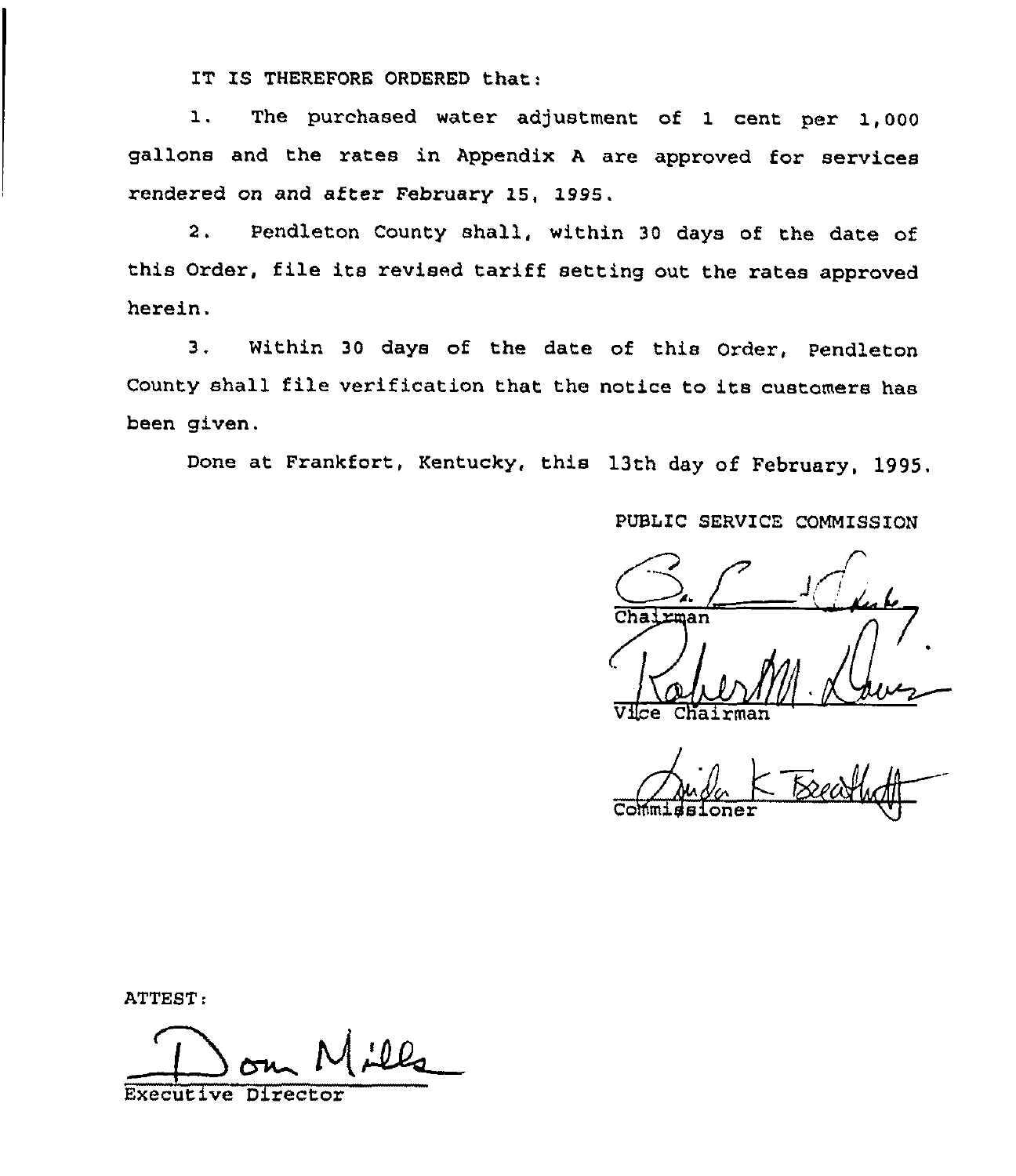IT IS THEREFORE ORDERED that:

1. The purchased water adjustment of <sup>1</sup> cent per 1,000 gallons and the rates in Appendix <sup>A</sup> are approved for services rendered on and after February 15, 1995.

2. Pendleton County shall, within <sup>30</sup> days of the date of this Order, file its revised tariff setting out the rates approved herein.

3, Within 30 days of the date of this Order, Pendleton County shall file verification that the notice to its customers has been given.

Done at Frankfort, Kentucky, this 13th day of February, 1995.

PUBLIC SERVICE COMMISSION

Cha: rman Vilce Chairman

Commidsione

ATTEST:

Executive Director